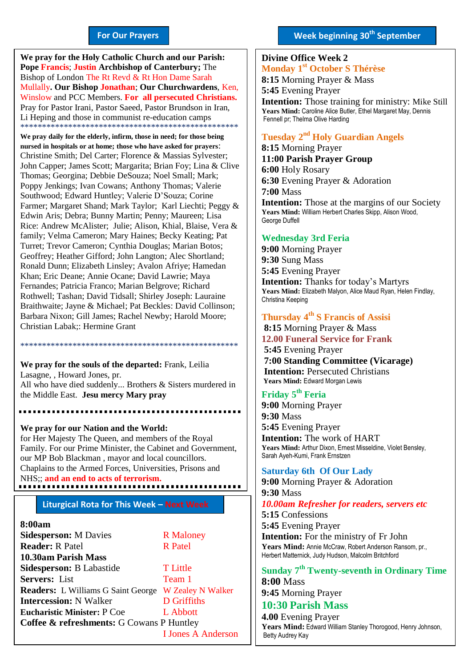#### **For Our Prayers**

arted Mullally**. Our Bishop Jonathan**; **Our Churchwardens**, Ken, **We pray for the Holy Catholic Church and our Parish: Pope Francis**; **Justin Archbishop of Canterbury;** The Bishop of London The Rt Revd & Rt Hon Dame Sarah Winslow and PCC Members. **For all persecuted Christians.** Pray for Pastor Irani, Pastor Saeed, Pastor Brundson in Iran, Li Heping and those in communist re-education camps \*\*\*\*\*\*\*\*\*\*\*\*\*\*\*\*\*\*\*\*\*\*\*\*\*\*\*\*\*\*\*\*\*\*\*\*\*\*\*\*\*\*\*\*\*\*\*\*\*\*

**We pray daily for the elderly, infirm, those in need; for those being nursed in hospitals or at home; those who have asked for prayers**: Christine Smith; Del Carter; Florence & Massias Sylvester; John Capper; James Scott; Margarita; Brian Foy; Lina & Clive Thomas; Georgina; Debbie DeSouza; Noel Small; Mark; Poppy Jenkings; Ivan Cowans; Anthony Thomas; Valerie Southwood; Edward Huntley; Valerie D'Souza; Corine Farmer; Margaret Shand; Mark Taylor; Karl Liechti; Peggy & Edwin Aris; Debra; Bunny Martin; Penny; Maureen; Lisa Rice: Andrew McAlister; Julie; Alison, Khial, Blaise, Vera & family; Velma Cameron; Mary Haines; Becky Keating; Pat Turret; Trevor Cameron; Cynthia Douglas; Marian Botos; Geoffrey; Heather Gifford; John Langton; Alec Shortland; Ronald Dunn; Elizabeth Linsley; Avalon Afriye; Hamedan Khan; Eric Deane; Annie Ocane; David Lawrie; Maya Fernandes; Patricia Franco; Marian Belgrove; Richard Rothwell; Tashan; David Tidsall; Shirley Joseph: Lauraine Braithwaite; Jayne & Michael; Pat Beckles: David Collinson; Barbara Nixon; Gill James; Rachel Newby; Harold Moore; Christian Labak;: Hermine Grant

**We pray for the souls of the departed:** Frank, Leilia Lasagne, , Howard Jones, pr. All who have died suddenly... Brothers & Sisters murdered in the Middle East. **Jesu mercy Mary pray**

\*\*\*\*\*\*\*\*\*\*\*\*\*\*\*\*\*\*\*\*\*\*\*\*\*\*\*\*\*\*\*\*\*\*\*\*\*\*\*\*\*\*\*\*\*\*\*\*\*\*

**We pray for our Nation and the World:** for Her Majesty The Queen, and members of the Royal Family. For our Prime Minister, the Cabinet and Government, our MP Bob Blackman , mayor and local councillors. Chaplains to the Armed Forces, Universities, Prisons and NHS;; **and an end to acts of terrorism.**

#### **Liturgical Rota for This Week – Next Week**

#### **8:00am**

| <b>Sidesperson: M Davies</b>              | <b>R</b> Maloney          |
|-------------------------------------------|---------------------------|
| <b>Reader: R Patel</b>                    | <b>R</b> Patel            |
| 10.30am Parish Mass                       |                           |
| Sidesperson: B Labastide                  | <b>T</b> Little           |
| Servers: List                             | Team 1                    |
| <b>Readers:</b> L Williams G Saint George | <b>W</b> Zealey N Walker  |
| <b>Intercession: N Walker</b>             | <b>D</b> Griffiths        |
| <b>Eucharistic Minister: P Coe</b>        | L Abbott                  |
| Coffee & refreshments: G Cowans P Huntley |                           |
|                                           | <b>I Jones A Anderson</b> |

 $\overline{a}$ 

#### **Week beginning 30th September**

#### **Divine Office Week 2 Monday 1 st October S Thérèse 8:15** Morning Prayer & Mass **5:45** Evening Prayer **Intention:** Those training for ministry: Mike Still **Years Mind:** Caroline Alice Butler, Ethel Margaret May, Dennis Fennell pr; Thelma Olive Harding **2018**

#### **Tuesday 2 nd Holy Guardian Angels**

**8:15** Morning Prayer **11:00 Parish Prayer Group 6:00** Holy Rosary **6:30** Evening Prayer & Adoration **7:00** Mass **Intention:** Those at the margins of our Society **Years Mind:** William Herbert Charles Skipp, Alison Wood, George Duffell

#### **Wednesday 3rd Feria**

**9:00** Morning Prayer **9:30** Sung Mass **5:45** Evening Prayer **Intention:** Thanks for today's Martyrs **Years Mind:** Elizabeth Malyon, Alice Maud Ryan, Helen Findlay, Christina Keeping

#### **Thursday 4 th S Francis of Assisi**

**8:15** Morning Prayer & Mass **12.00 Funeral Service for Frank 5:45** Evening Prayer **7:00 Standing Committee (Vicarage) Intention:** Persecuted Christians **Years Mind:** Edward Morgan Lewis

#### **Friday 5 th Feria**

**9:00** Morning Prayer **9:30** Mass **5:45** Evening Prayer **Intention:** The work of HART **Years Mind:** Arthur Dixon, Ernest Misseldine, Violet Bensley, Sarah Ayeh-Kumi, Frank Ernstzen

#### **Saturday 6th Of Our Lady**

**9:00** Morning Prayer & Adoration **9:30** Mass *10.00am Refresher for readers, servers etc* **5:15** Confessions **5:45** Evening Prayer **Intention:** For the ministry of Fr John **Years Mind:** Annie McCraw, Robert Anderson Ransom, pr., Herbert Matternick, Judy Hudson, Malcolm Britchford

**Sunday 7 th Twenty-seventh in Ordinary Time 8:00** Mass

**9:45** Morning Prayer **10:30 Parish Mass**

**4.00** Evening Prayer **Years Mind:** Edward William Stanley Thorogood, Henry Johnson, Betty Audrey Kay